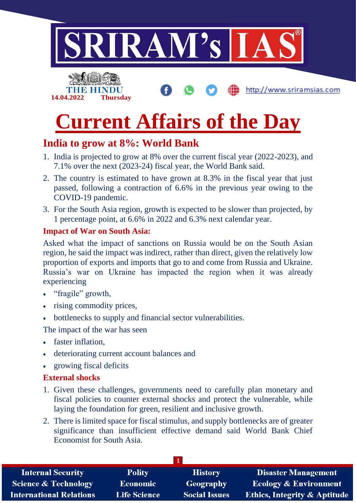

# **Current Affairs of the Day**

## **India to grow at 8%: World Bank**

- 1. India is projected to grow at 8% over the current fiscal year (2022-2023), and 7.1% over the next (2023-24) fiscal year, the World Bank said.
- 2. The country is estimated to have grown at 8.3% in the fiscal year that just passed, following a contraction of 6.6% in the previous year owing to the COVID-19 pandemic.
- 3. For the South Asia region, growth is expected to be slower than projected, by 1 percentage point, at 6.6% in 2022 and 6.3% next calendar year.

#### **Impact of War on South Asia:**

Asked what the impact of sanctions on Russia would be on the South Asian region, he said the impact was indirect, rather than direct, given the relatively low proportion of exports and imports that go to and come from Russia and Ukraine. Russia's war on Ukraine has impacted the region when it was already experiencing

- "fragile" growth,
- rising commodity prices,
- bottlenecks to supply and financial sector vulnerabilities.

The impact of the war has seen

- faster inflation,
- deteriorating current account balances and
- growing fiscal deficits

#### **External shocks**

- 1. Given these challenges, governments need to carefully plan monetary and fiscal policies to counter external shocks and protect the vulnerable, while laying the foundation for green, resilient and inclusive growth.
- 2. There is limited space for fiscal stimulus, and supply bottlenecks are of greater significance than insufficient effective demand said World Bank Chief Economist for South Asia.

| <b>Internal Security</b>        | <b>Polity</b>       | <b>History</b>       | <b>Disaster Management</b>              |
|---------------------------------|---------------------|----------------------|-----------------------------------------|
| <b>Science &amp; Technology</b> | <b>Economic</b>     | Geography            | <b>Ecology &amp; Environment</b>        |
| <b>International Relations</b>  | <b>Life Science</b> | <b>Social Issues</b> | <b>Ethics, Integrity &amp; Aptitude</b> |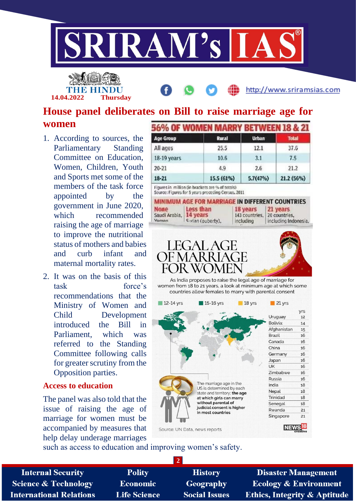

**14.04.2022 Thursday**

http://www.sriramsias.com

### **House panel deliberates on Bill to raise marriage age for women**

- 1. According to sources, the Parliamentary Standing Committee on Education, Women, Children, Youth and Sports met some of the members of the task force appointed by the government in June 2020, which recommended raising the age of marriage to improve the nutritional status of mothers and babies and curb infant and maternal mortality rates.
- 2. It was on the basis of this task force's recommendations that the Ministry of Women and Child Development introduced the Bill in Parliament, which was referred to the Standing Committee following calls for greater scrutiny from the Opposition parties.

#### **Access to education**

The panel was also told that the issue of raising the age of marriage for women must be accompanied by measures that help delay underage marriages

| <b>Age Group</b> | Rural      | <b>Urban</b> | <b>Total</b> |
|------------------|------------|--------------|--------------|
| All ages         | 25.5       | 12.1         | 37.6         |
| 18-19 years      | 10.6       | 3.1          | 7.5          |
| $20 - 21$        | 4.9        | 2.6          | 21.2         |
| $18 - 21$        | 15.5 (61%) | 5.7(47%)     | 21.2 (56%)   |

Figures in million (in brackets are % of totals) Source: Figures for 5 years preceding Census, 2011

|                                                | <b>MINIMUM AGE FOR MARRIAGE IN DIFFERENT COUNTRIES</b> |                                                                |                      |
|------------------------------------------------|--------------------------------------------------------|----------------------------------------------------------------|----------------------|
| <b>None</b><br>Saudi Arabia, 14 years<br>Vaman | Less than<br>Sudan (ouberty).                          | 18 years 21 years<br>143 countries. 20 countries.<br>including | including Indonesia. |



As India proposes to raise the legal age of marriage for women from 18 to 21 years, a look at minimum age at which some countries allow females to marry with parental consent

| 12-14 yrs                     | 15-16 yrs                                                                                          | 18 yrs | 21 yrs          |           |
|-------------------------------|----------------------------------------------------------------------------------------------------|--------|-----------------|-----------|
|                               |                                                                                                    |        | Uruguay         | yrs<br>12 |
|                               |                                                                                                    |        | Bolivia:        | 14        |
|                               |                                                                                                    |        | Afghanistan     | 15        |
|                               |                                                                                                    |        | <b>Brazil</b>   | 16        |
|                               |                                                                                                    |        | Canada          | 16        |
|                               |                                                                                                    |        | China           | 16        |
|                               |                                                                                                    |        | Germany         | 16        |
|                               |                                                                                                    |        | Japan           | 16        |
|                               |                                                                                                    |        | UK              | 16        |
|                               |                                                                                                    |        | Zimbabwe        | 16        |
|                               |                                                                                                    |        | <b>Russia</b>   | 16        |
|                               | The marriage age in the<br>US is determined by each                                                |        | India           | 18        |
|                               | state and territory; the age                                                                       |        | Nepal           | 18        |
|                               | at which girls can marry<br>without parental of<br>judicial consent is higher<br>in most countries |        | <b>Trinidad</b> | 18        |
|                               |                                                                                                    |        | Senegal         | 18        |
|                               |                                                                                                    |        | Rwanda          | 21        |
|                               |                                                                                                    |        | Singapore       | 21        |
| Source: UN Data, news reports |                                                                                                    |        |                 |           |

such as access to education and improving women's safety.

| <b>Internal Security</b>        | <b>Polity</b>       | <b>History</b>       | <b>Disaster Management</b>              |
|---------------------------------|---------------------|----------------------|-----------------------------------------|
| <b>Science &amp; Technology</b> | <b>Economic</b>     | <b>Geography</b>     | <b>Ecology &amp; Environment</b>        |
| <b>International Relations</b>  | <b>Life Science</b> | <b>Social Issues</b> | <b>Ethics, Integrity &amp; Aptitude</b> |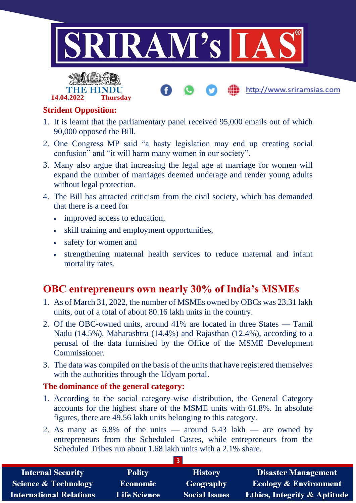



http://www.sriramsias.com

#### **Strident Opposition:**

- 1. It is learnt that the parliamentary panel received 95,000 emails out of which 90,000 opposed the Bill.
- 2. One Congress MP said "a hasty legislation may end up creating social confusion" and "it will harm many women in our society".
- 3. Many also argue that increasing the legal age at marriage for women will expand the number of marriages deemed underage and render young adults without legal protection.
- 4. The Bill has attracted criticism from the civil society, which has demanded that there is a need for
	- improved access to education,
	- skill training and employment opportunities,
	- safety for women and
	- strengthening maternal health services to reduce maternal and infant mortality rates.

## **OBC entrepreneurs own nearly 30% of India's MSMEs**

- 1. As of March 31, 2022, the number of MSMEs owned by OBCs was 23.31 lakh units, out of a total of about 80.16 lakh units in the country.
- 2. Of the OBC-owned units, around 41% are located in three States Tamil Nadu (14.5%), Maharashtra (14.4%) and Rajasthan (12.4%), according to a perusal of the data furnished by the Office of the MSME Development Commissioner.
- 3. The data was compiled on the basis of the units that have registered themselves with the authorities through the Udyam portal.

#### **The dominance of the general category:**

- 1. According to the social category-wise distribution, the General Category accounts for the highest share of the MSME units with 61.8%. In absolute figures, there are 49.56 lakh units belonging to this category.
- 2. As many as  $6.8\%$  of the units around  $5.43$  lakh are owned by entrepreneurs from the Scheduled Castes, while entrepreneurs from the Scheduled Tribes run about 1.68 lakh units with a 2.1% share.

| <b>Internal Security</b>        | <b>Polity</b>       | <b>History</b>       | <b>Disaster Management</b>              |
|---------------------------------|---------------------|----------------------|-----------------------------------------|
| <b>Science &amp; Technology</b> | <b>Economic</b>     | Geography            | <b>Ecology &amp; Environment</b>        |
| <b>International Relations</b>  | <b>Life Science</b> | <b>Social Issues</b> | <b>Ethics, Integrity &amp; Aptitude</b> |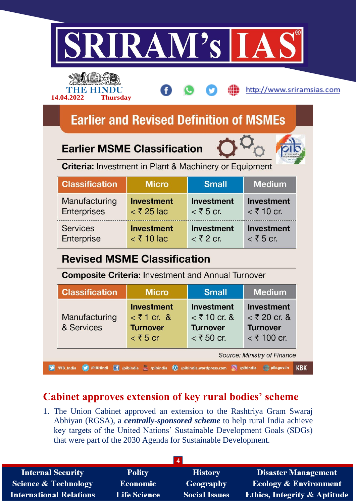|                                                               | IRAW'S                                                                       |                                                                        |                                                                         |
|---------------------------------------------------------------|------------------------------------------------------------------------------|------------------------------------------------------------------------|-------------------------------------------------------------------------|
|                                                               |                                                                              |                                                                        | http://www.sriramsias.com                                               |
| 14.04.2022<br><b>Thursday</b>                                 | <b>Earlier and Revised Definition of MSMEs</b>                               |                                                                        |                                                                         |
| <b>Earlier MSME Classification</b>                            |                                                                              |                                                                        |                                                                         |
| <b>Criteria:</b> Investment in Plant & Machinery or Equipment |                                                                              |                                                                        |                                                                         |
| <b>Classification</b>                                         | <b>Micro</b>                                                                 | <b>Small</b>                                                           | <b>Medium</b>                                                           |
| Manufacturing<br><b>Enterprises</b>                           | <b>Investment</b><br>$<$ ₹ 25 lac                                            | <b>Investment</b><br>$<$ ₹ 5 cr.                                       | Investment<br>$<$ ₹ 10 cr.                                              |
| <b>Services</b><br>Enterprise                                 | <b>Investment</b><br>$<$ ₹ 10 $\alpha$                                       | <b>Investment</b><br>$<$ ₹2 cr.                                        | Investment<br>$\leq$ ₹ 5 cr.                                            |
| <b>Revised MSME Classification</b>                            |                                                                              |                                                                        |                                                                         |
| <b>Composite Criteria: Investment and Annual Turnover</b>     |                                                                              |                                                                        |                                                                         |
|                                                               |                                                                              |                                                                        | <b>Medium</b>                                                           |
| <b>Classification</b>                                         | <b>Micro</b>                                                                 | <b>Small</b>                                                           |                                                                         |
| Manufacturing<br>& Services                                   | <b>Investment</b><br>$<$ ₹ 1 cr. &<br><b>Turnover</b><br>$\mathbf{<}$ ₹ 5 cr | <b>Investment</b><br>$<$ ₹ 10 cr. &<br><b>Turnover</b><br>$<$ ₹ 50 cr. | <b>Investment</b><br>$<$ ₹ 20 cr. &<br><b>Turnover</b><br>$<$ ₹ 100 cr. |

## **Cabinet approves extension of key rural bodies' scheme**

1. The Union Cabinet approved an extension to the Rashtriya Gram Swaraj Abhiyan (RGSA), a *centrally-sponsored scheme* to help rural India achieve key targets of the United Nations' Sustainable Development Goals (SDGs) that were part of the 2030 Agenda for Sustainable Development.

| <b>Internal Security</b>        | <b>Polity</b>       | <b>History</b>       | <b>Disaster Management</b>              |
|---------------------------------|---------------------|----------------------|-----------------------------------------|
| <b>Science &amp; Technology</b> | Economic            | Geography            | <b>Ecology &amp; Environment</b>        |
| <b>International Relations</b>  | <b>Life Science</b> | <b>Social Issues</b> | <b>Ethics, Integrity &amp; Aptitude</b> |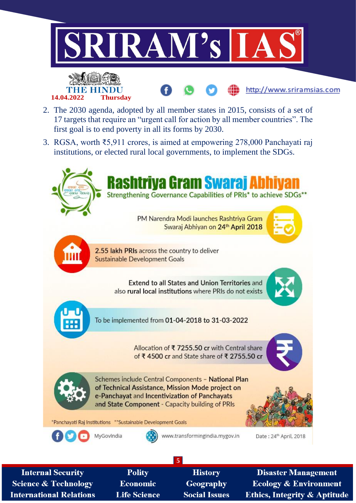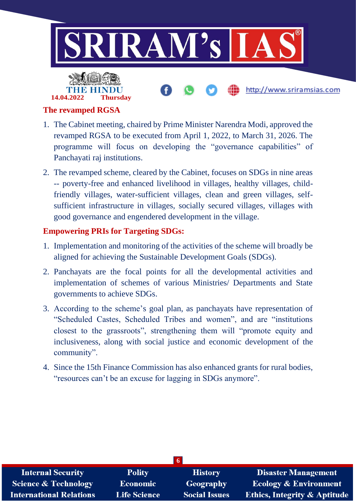

#### **The revamped RGSA**

- 1. The Cabinet meeting, chaired by Prime Minister Narendra Modi, approved the revamped RGSA to be executed from April 1, 2022, to March 31, 2026. The programme will focus on developing the "governance capabilities" of Panchayati raj institutions.
- 2. The revamped scheme, cleared by the Cabinet, focuses on SDGs in nine areas -- poverty-free and enhanced livelihood in villages, healthy villages, childfriendly villages, water-sufficient villages, clean and green villages, selfsufficient infrastructure in villages, socially secured villages, villages with good governance and engendered development in the village.

#### **Empowering PRIs for Targeting SDGs:**

- 1. Implementation and monitoring of the activities of the scheme will broadly be aligned for achieving the Sustainable Development Goals (SDGs).
- 2. Panchayats are the focal points for all the developmental activities and implementation of schemes of various Ministries/ Departments and State governments to achieve SDGs.
- 3. According to the scheme's goal plan, as panchayats have representation of "Scheduled Castes, Scheduled Tribes and women", and are "institutions closest to the grassroots", strengthening them will "promote equity and inclusiveness, along with social justice and economic development of the community".
- 4. Since the 15th Finance Commission has also enhanced grants for rural bodies, "resources can't be an excuse for lagging in SDGs anymore".

| 61                              |                     |                      |                                         |  |
|---------------------------------|---------------------|----------------------|-----------------------------------------|--|
| <b>Internal Security</b>        | <b>Polity</b>       | <b>History</b>       | <b>Disaster Management</b>              |  |
| <b>Science &amp; Technology</b> | Economic            | Geography            | <b>Ecology &amp; Environment</b>        |  |
| <b>International Relations</b>  | <b>Life Science</b> | <b>Social Issues</b> | <b>Ethics, Integrity &amp; Aptitude</b> |  |